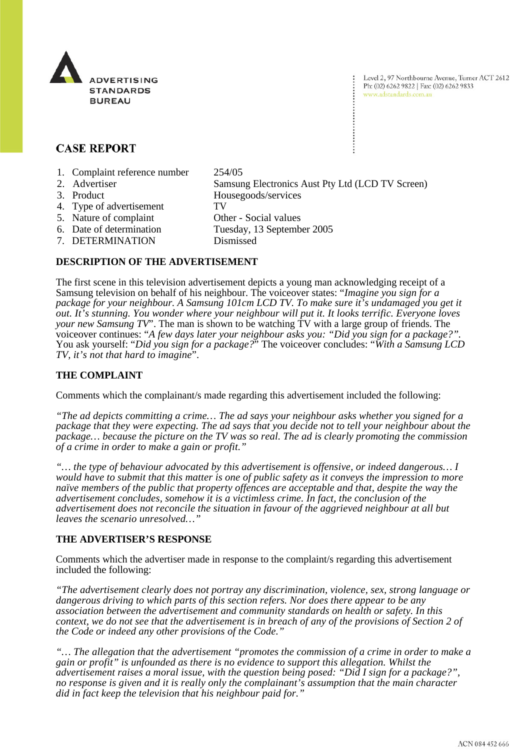

Level 2, 97 Northbourne Avenue, Turner ACT 2612 Ph: (02) 6262 9822 | Fax: (02) 6262 9833 www.adstandards.com.au

# **CASE REPORT**

- 1. Complaint reference number 254/05
- 2. Advertiser Samsung Electronics Aust Pty Ltd (LCD TV Screen)
- 3. Product Housegoods/services
- 4. Type of advertisement TV
- 5. Nature of complaint Other Social values
- 6. Date of determination Tuesday, 13 September 2005
- 7. DETERMINATION Dismissed
- 

# **DESCRIPTION OF THE ADVERTISEMENT**

The first scene in this television advertisement depicts a young man acknowledging receipt of a Samsung television on behalf of his neighbour. The voiceover states: "*Imagine you sign for a package for your neighbour. A Samsung 101cm LCD TV. To make sure it's undamaged you get it out. It's stunning. You wonder where your neighbour will put it. It looks terrific. Everyone loves your new Samsung TV*". The man is shown to be watching TV with a large group of friends. The voiceover continues: "*A few days later your neighbour asks you: "Did you sign for a package?".*  You ask yourself: "*Did you sign for a package?*" The voiceover concludes: "*With a Samsung LCD TV, it's not that hard to imagine*".

### **THE COMPLAINT**

Comments which the complainant/s made regarding this advertisement included the following:

*"The ad depicts committing a crime… The ad says your neighbour asks whether you signed for a package that they were expecting. The ad says that you decide not to tell your neighbour about the package… because the picture on the TV was so real. The ad is clearly promoting the commission of a crime in order to make a gain or profit."*

*"… the type of behaviour advocated by this advertisement is offensive, or indeed dangerous… I would have to submit that this matter is one of public safety as it conveys the impression to more naïve members of the public that property offences are acceptable and that, despite the way the advertisement concludes, somehow it is a victimless crime. In fact, the conclusion of the advertisement does not reconcile the situation in favour of the aggrieved neighbour at all but leaves the scenario unresolved…"*

#### **THE ADVERTISER'S RESPONSE**

Comments which the advertiser made in response to the complaint/s regarding this advertisement included the following:

*"The advertisement clearly does not portray any discrimination, violence, sex, strong language or dangerous driving to which parts of this section refers. Nor does there appear to be any association between the advertisement and community standards on health or safety. In this context, we do not see that the advertisement is in breach of any of the provisions of Section 2 of the Code or indeed any other provisions of the Code."*

*"… The allegation that the advertisement "promotes the commission of a crime in order to make a gain or profit" is unfounded as there is no evidence to support this allegation. Whilst the advertisement raises a moral issue, with the question being posed: "Did I sign for a package?", no response is given and it is really only the complainant's assumption that the main character did in fact keep the television that his neighbour paid for."*